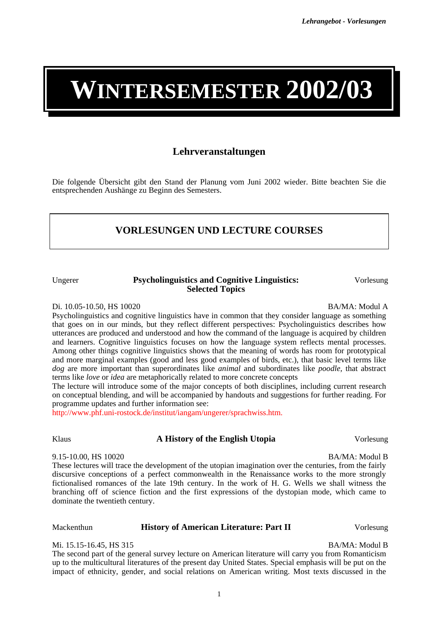# **WINTERSEMESTER 2002/03**

# **Lehrveranstaltungen**

Die folgende Übersicht gibt den Stand der Planung vom Juni 2002 wieder. Bitte beachten Sie die entsprechenden Aushänge zu Beginn des Semesters.

# <span id="page-0-0"></span>**VORLESUNGEN UND LECTURE COURSES**

### Ungerer **Psycholinguistics and Cognitive Linguistics: Selected Topics**

Vorlesung

### Di. 10.05-10.50, HS 10020 BA/MA: Modul A

Psycholinguistics and cognitive linguistics have in common that they consider language as something that goes on in our minds, but they reflect different perspectives: Psycholinguistics describes how utterances are produced and understood and how the command of the language is acquired by children and learners. Cognitive linguistics focuses on how the language system reflects mental processes. Among other things cognitive linguistics shows that the meaning of words has room for prototypical and more marginal examples (good and less good examples of birds, etc.), that basic level terms like *dog* are more important than superordinates like *animal* and subordinates like *poodle,* that abstract terms like *love* or *idea* are metaphorically related to more concrete concepts

The lecture will introduce some of the major concepts of both disciplines, including current research on conceptual blending, and will be accompanied by handouts and suggestions for further reading. For programme updates and further information see:

http://www.phf.uni-rostock.de/institut/iangam/ungerer/sprachwiss.htm.

# Klaus **A History of the English Utopia** Vorlesung

#### 9.15-10.00, HS 10020 BA/MA: Modul B

These lectures will trace the development of the utopian imagination over the centuries, from the fairly discursive conceptions of a perfect commonwealth in the Renaissance works to the more strongly fictionalised romances of the late 19th century. In the work of H. G. Wells we shall witness the branching off of science fiction and the first expressions of the dystopian mode, which came to dominate the twentieth century.

# Mackenthun **History of American Literature: Part II** Vorlesung

#### Mi. 15.15-16.45, HS 315 BA/MA: Modul B

The second part of the general survey lecture on American literature will carry you from Romanticism up to the multicultural literatures of the present day United States. Special emphasis will be put on the impact of ethnicity, gender, and social relations on American writing. Most texts discussed in the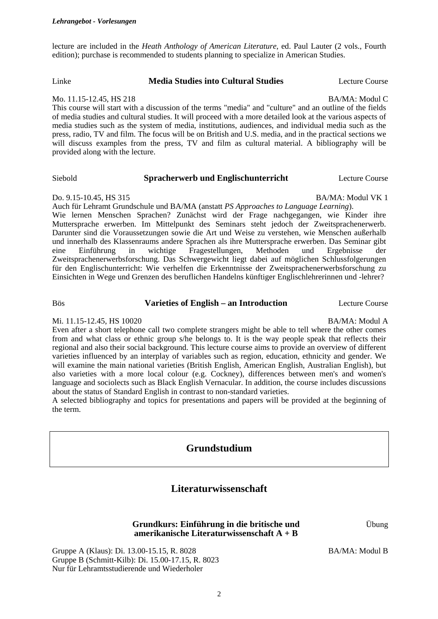lecture are included in the *Heath Anthology of American Literature*, ed. Paul Lauter (2 vols., Fourth edition); purchase is recommended to students planning to specialize in American Studies.

#### Linke **Media Studies into Cultural Studies** Lecture Course

#### Mo. 11.15-12.45, HS 218 BA/MA: Modul C

This course will start with a discussion of the terms "media" and "culture" and an outline of the fields of media studies and cultural studies. It will proceed with a more detailed look at the various aspects of media studies such as the system of media, institutions, audiences, and individual media such as the press, radio, TV and film. The focus will be on British and U.S. media, and in the practical sections we will discuss examples from the press, TV and film as cultural material. A bibliography will be provided along with the lecture.

#### Siebold **Spracherwerb und Englischunterricht** Lecture Course

#### Do. 9.15-10.45, HS 315 BA/MA: Modul VK 1

Auch für Lehramt Grundschule und BA/MA (anstatt *PS Approaches to Language Learning*). Wie lernen Menschen Sprachen? Zunächst wird der Frage nachgegangen, wie Kinder ihre Muttersprache erwerben. Im Mittelpunkt des Seminars steht jedoch der Zweitsprachenerwerb. Darunter sind die Voraussetzungen sowie die Art und Weise zu verstehen, wie Menschen außerhalb und innerhalb des Klassenraums andere Sprachen als ihre Muttersprache erwerben. Das Seminar gibt eine Einführung in wichtige Fragestellungen, Methoden und Ergebnisse der Zweitsprachenerwerbsforschung. Das Schwergewicht liegt dabei auf möglichen Schlussfolgerungen für den Englischunterricht: Wie verhelfen die Erkenntnisse der Zweitsprachenerwerbsforschung zu Einsichten in Wege und Grenzen des beruflichen Handelns künftiger Englischlehrerinnen und -lehrer?

#### Bös **Varieties of English – an Introduction** Lecture Course

#### Mi. 11.15-12.45, HS 10020 BA/MA: Modul A

Even after a short telephone call two complete strangers might be able to tell where the other comes from and what class or ethnic group s/he belongs to. It is the way people speak that reflects their regional and also their social background. This lecture course aims to provide an overview of different varieties influenced by an interplay of variables such as region, education, ethnicity and gender. We will examine the main national varieties (British English, American English, Australian English), but also varieties with a more local colour (e.g. Cockney), differences between men's and women's language and sociolects such as Black English Vernacular. In addition, the course includes discussions about the status of Standard English in contrast to non-standard varieties.

A selected bibliography and topics for presentations and papers will be provided at the beginning of the term.

# **Grundstudium**

# **Literaturwissenschaft**

#### **Grundkurs: Einführung in die britische und amerikanische Literaturwissenschaft A + B**

Gruppe A (Klaus): Di. 13.00-15.15, R. 8028 Gruppe B (Schmitt-Kilb): Di. 15.00-17.15, R. 8023 Nur für Lehramtsstudierende und Wiederholer

BA/MA: Modul B

Übung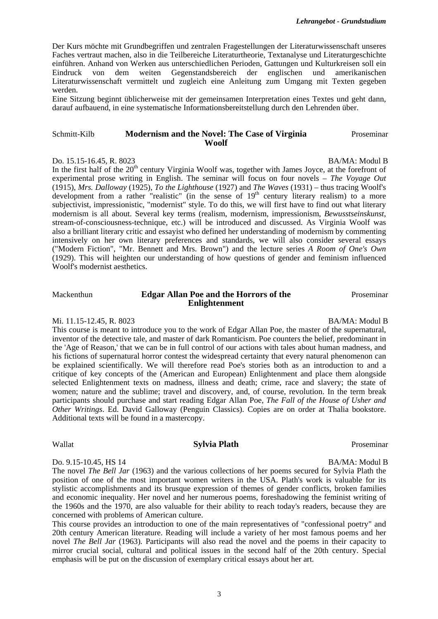Der Kurs möchte mit Grundbegriffen und zentralen Fragestellungen der Literaturwissenschaft unseres Faches vertraut machen, also in die Teilbereiche Literaturtheorie, Textanalyse und Literaturgeschichte einführen. Anhand von Werken aus unterschiedlichen Perioden, Gattungen und Kulturkreisen soll ein Eindruck von dem weiten Gegenstandsbereich der englischen und amerikanischen Literaturwissenschaft vermittelt und zugleich eine Anleitung zum Umgang mit Texten gegeben werden.

Eine Sitzung beginnt üblicherweise mit der gemeinsamen Interpretation eines Textes und geht dann, darauf aufbauend, in eine systematische Informationsbereitstellung durch den Lehrenden über.

#### Schmitt-Kilb **Modernism and the Novel: The Case of Virginia Woolf**

#### Do. 15.15-16.45, R. 8023 BA/MA: Modul B

In the first half of the  $20<sup>th</sup>$  century Virginia Woolf was, together with James Joyce, at the forefront of experimental prose writing in English. The seminar will focus on four novels – *The Voyage Out* (1915), *Mrs. Dalloway* (1925), *To the Lighthouse* (1927) and *The Waves* (1931) – thus tracing Woolf's development from a rather "realistic" (in the sense of  $19<sup>th</sup>$  century literary realism) to a more subjectivist, impressionistic, "modernist" style. To do this, we will first have to find out what literary modernism is all about. Several key terms (realism, modernism, impressionism, *Bewusstseinskunst*, stream-of-consciousness-technique, etc.) will be introduced and discussed. As Virginia Woolf was also a brilliant literary critic and essayist who defined her understanding of modernism by commenting intensively on her own literary preferences and standards, we will also consider several essays ("Modern Fiction", "Mr. Bennett and Mrs. Brown") and the lecture series *A Room of One's Own*  (1929). This will heighten our understanding of how questions of gender and feminism influenced Woolf's modernist aesthetics.

#### Mackenthun **Edgar Allan Poe and the Horrors of the Enlightenment**

#### Mi. 11.15-12.45, R. 8023 BA/MA: Modul B

This course is meant to introduce you to the work of Edgar Allan Poe, the master of the supernatural, inventor of the detective tale, and master of dark Romanticism. Poe counters the belief, predominant in the 'Age of Reason,' that we can be in full control of our actions with tales about human madness, and his fictions of supernatural horror contest the widespread certainty that every natural phenomenon can be explained scientifically. We will therefore read Poe's stories both as an introduction to and a critique of key concepts of the (American and European) Enlightenment and place them alongside selected Enlightenment texts on madness, illness and death; crime, race and slavery; the state of women; nature and the sublime; travel and discovery, and, of course, revolution. In the term break participants should purchase and start reading Edgar Allan Poe, *The Fall of the House of Usher and Other Writings*. Ed. David Galloway (Penguin Classics). Copies are on order at Thalia bookstore. Additional texts will be found in a mastercopy.

#### Wallat **Sylvia Plath** Proseminar

Do. 9.15-10.45, HS 14 BA/MA: Modul B

The novel *The Bell Jar* (1963) and the various collections of her poems secured for Sylvia Plath the position of one of the most important women writers in the USA. Plath's work is valuable for its stylistic accomplishments and its brusque expression of themes of gender conflicts, broken families and economic inequality. Her novel and her numerous poems, foreshadowing the feminist writing of the 1960s and the 1970, are also valuable for their ability to reach today's readers, because they are concerned with problems of American culture.

This course provides an introduction to one of the main representatives of "confessional poetry" and 20th century American literature. Reading will include a variety of her most famous poems and her novel *The Bell Jar* (1963)*.* Participants will also read the novel and the poems in their capacity to mirror crucial social, cultural and political issues in the second half of the 20th century. Special emphasis will be put on the discussion of exemplary critical essays about her art.

Proseminar

Proseminar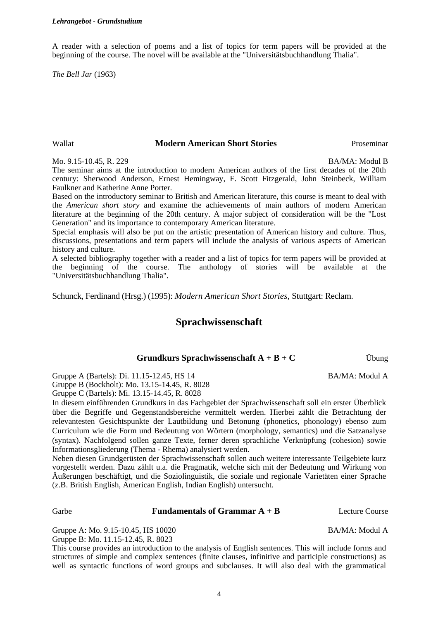### *Lehrangebot - Grundstudium*

A reader with a selection of poems and a list of topics for term papers will be provided at the beginning of the course. The novel will be available at the "Universitätsbuchhandlung Thalia".

*The Bell Jar* (1963)

Wallat **Modern American Short Stories** Proseminar

Mo. 9.15-10.45, R. 229 BA/MA: Modul B

The seminar aims at the introduction to modern American authors of the first decades of the 20th century: Sherwood Anderson, Ernest Hemingway, F. Scott Fitzgerald, John Steinbeck, William Faulkner and Katherine Anne Porter.

Based on the introductory seminar to British and American literature, this course is meant to deal with the *American short story* and examine the achievements of main authors of modern American literature at the beginning of the 20th century. A major subject of consideration will be the "Lost Generation" and its importance to contemporary American literature.

Special emphasis will also be put on the artistic presentation of American history and culture. Thus, discussions, presentations and term papers will include the analysis of various aspects of American history and culture.

A selected bibliography together with a reader and a list of topics for term papers will be provided at the beginning of the course. The anthology of stories will be available at the "Universitätsbuchhandlung Thalia".

Schunck, Ferdinand (Hrsg.) (1995): *Modern American Short Stories,* Stuttgart: Reclam.

# **Sprachwissenschaft**

| Grundkurs Sprachwissenschaft $A + B + C$ | Ubung |
|------------------------------------------|-------|
|------------------------------------------|-------|

Gruppe A (Bartels): Di. 11.15-12.45, HS 14

Gruppe B (Bockholt): Mo. 13.15-14.45, R. 8028

Gruppe C (Bartels): Mi. 13.15-14.45, R. 8028

In diesem einführenden Grundkurs in das Fachgebiet der Sprachwissenschaft soll ein erster Überblick über die Begriffe und Gegenstandsbereiche vermittelt werden. Hierbei zählt die Betrachtung der relevantesten Gesichtspunkte der Lautbildung und Betonung (phonetics, phonology) ebenso zum Curriculum wie die Form und Bedeutung von Wörtern (morphology, semantics) und die Satzanalyse (syntax). Nachfolgend sollen ganze Texte, ferner deren sprachliche Verknüpfung (cohesion) sowie Informationsgliederung (Thema - Rhema) analysiert werden.

Neben diesen Grundgerüsten der Sprachwissenschaft sollen auch weitere interessante Teilgebiete kurz vorgestellt werden. Dazu zählt u.a. die Pragmatik, welche sich mit der Bedeutung und Wirkung von Äußerungen beschäftigt, und die Soziolinguistik, die soziale und regionale Varietäten einer Sprache (z.B. British English, American English, Indian English) untersucht.

Gruppe A: Mo. 9.15-10.45, HS 10020

Gruppe B: Mo. 11.15-12.45, R. 8023

This course provides an introduction to the analysis of English sentences. This will include forms and structures of simple and complex sentences (finite clauses, infinitive and participle constructions) as well as syntactic functions of word groups and subclauses. It will also deal with the grammatical

BA/MA: Modul A

Garbe **Fundamentals of Grammar A + B** Lecture Course

BA/MA: Modul A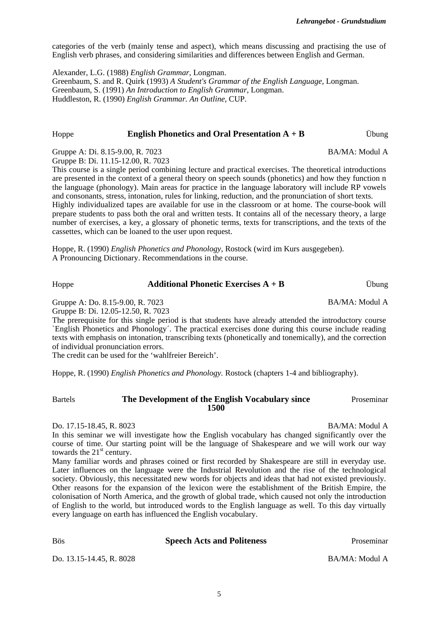categories of the verb (mainly tense and aspect), which means discussing and practising the use of English verb phrases, and considering similarities and differences between English and German.

Alexander, L.G. (1988) *English Grammar*, Longman. Greenbaum, S. and R. Quirk (1993) *A Student's Grammar of the English Language*, Longman. Greenbaum, S. (1991) *An Introduction to English Grammar*, Longman. Huddleston, R. (1990) *English Grammar. An Outline*, CUP.

#### Hoppe **English Phonetics and Oral Presentation A + B** Übung

Gruppe A: Di. 8.15-9.00, R. 7023 Gruppe B: Di. 11.15-12.00, R. 7023

This course is a single period combining lecture and practical exercises. The theoretical introductions are presented in the context of a general theory on speech sounds (phonetics) and how they function n the language (phonology). Main areas for practice in the language laboratory will include RP vowels and consonants, stress, intonation, rules for linking, reduction, and the pronunciation of short texts.

Highly individualized tapes are available for use in the classroom or at home. The course-book will prepare students to pass both the oral and written tests. It contains all of the necessary theory, a large number of exercises, a key, a glossary of phonetic terms, texts for transcriptions, and the texts of the cassettes, which can be loaned to the user upon request.

Hoppe, R. (1990) *English Phonetics and Phonology,* Rostock (wird im Kurs ausgegeben). A Pronouncing Dictionary. Recommendations in the course.

Hoppe **Additional Phonetic Exercises A + B** Übung

Gruppe A: Do. 8.15-9.00, R. 7023

Gruppe B: Di. 12.05-12.50, R. 7023

The prerequisite for this single period is that students have already attended the introductory course `English Phonetics and Phonology´. The practical exercises done during this course include reading texts with emphasis on intonation, transcribing texts (phonetically and tonemically), and the correction of individual pronunciation errors.

The credit can be used for the 'wahlfreier Bereich'.

Hoppe, R. (1990) *English Phonetics and Phonology.* Rostock (chapters 1-4 and bibliography).

#### Bartels **The Development of the English Vocabulary since 1500**  Proseminar

#### Do. 17.15-18.45, R. 8023 BA/MA: Modul A

In this seminar we will investigate how the English vocabulary has changed significantly over the course of time. Our starting point will be the language of Shakespeare and we will work our way towards the  $21<sup>st</sup>$  century.

Many familiar words and phrases coined or first recorded by Shakespeare are still in everyday use. Later influences on the language were the Industrial Revolution and the rise of the technological society. Obviously, this necessitated new words for objects and ideas that had not existed previously. Other reasons for the expansion of the lexicon were the establishment of the British Empire, the colonisation of North America, and the growth of global trade, which caused not only the introduction of English to the world, but introduced words to the English language as well. To this day virtually every language on earth has influenced the English vocabulary.

### Bös **Speech Acts and Politeness** Proseminar

Do. 13.15-14.45, R. 8028 BA/MA: Modul A

BA/MA: Modul A

BA/MA: Modul A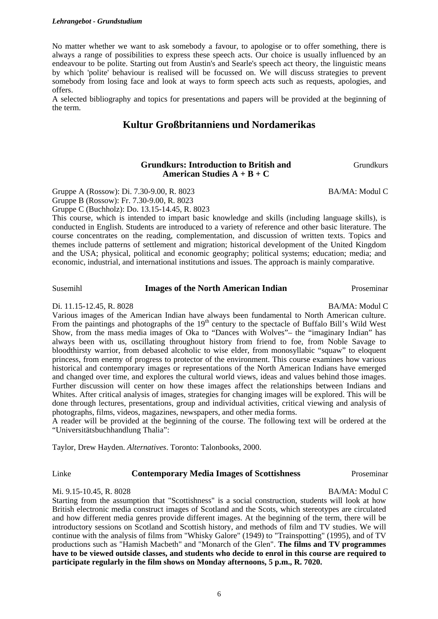#### *Lehrangebot - Grundstudium*

No matter whether we want to ask somebody a favour, to apologise or to offer something, there is always a range of possibilities to express these speech acts. Our choice is usually influenced by an endeavour to be polite. Starting out from Austin's and Searle's speech act theory, the linguistic means by which 'polite' behaviour is realised will be focussed on. We will discuss strategies to prevent somebody from losing face and look at ways to form speech acts such as requests, apologies, and offers.

A selected bibliography and topics for presentations and papers will be provided at the beginning of the term.

# **Kultur Großbritanniens und Nordamerikas**

#### **Grundkurs: Introduction to British and American Studies A + B + C**

Gruppe A (Rossow): Di. 7.30-9.00, R. 8023

Gruppe B (Rossow): Fr. 7.30-9.00, R. 8023

Gruppe C (Buchholz): Do. 13.15-14.45, R. 8023

This course, which is intended to impart basic knowledge and skills (including language skills), is conducted in English. Students are introduced to a variety of reference and other basic literature. The course concentrates on the reading, complementation, and discussion of written texts. Topics and themes include patterns of settlement and migration; historical development of the United Kingdom and the USA; physical, political and economic geography; political systems; education; media; and economic, industrial, and international institutions and issues. The approach is mainly comparative.

#### Susemihl **Images of the North American Indian** Proseminar

Di. 11.15-12.45, R. 8028 BA/MA: Modul C

Various images of the American Indian have always been fundamental to North American culture. From the paintings and photographs of the  $19<sup>th</sup>$  century to the spectacle of Buffalo Bill's Wild West Show, from the mass media images of Oka to "Dances with Wolves"– the "imaginary Indian" has always been with us, oscillating throughout history from friend to foe, from Noble Savage to bloodthirsty warrior, from debased alcoholic to wise elder, from monosyllabic "squaw" to eloquent princess, from enemy of progress to protector of the environment. This course examines how various historical and contemporary images or representations of the North American Indians have emerged and changed over time, and explores the cultural world views, ideas and values behind those images. Further discussion will center on how these images affect the relationships between Indians and Whites. After critical analysis of images, strategies for changing images will be explored. This will be done through lectures, presentations, group and individual activities, critical viewing and analysis of photographs, films, videos, magazines, newspapers, and other media forms.

A reader will be provided at the beginning of the course. The following text will be ordered at the "Universitätsbuchhandlung Thalia":

Taylor, Drew Hayden. *Alternatives*. Toronto: Talonbooks, 2000.

#### Linke **Contemporary Media Images of Scottishness** Proseminar

#### Mi. 9.15-10.45, R. 8028 BA/MA: Modul C

Starting from the assumption that "Scottishness" is a social construction, students will look at how British electronic media construct images of Scotland and the Scots, which stereotypes are circulated and how different media genres provide different images. At the beginning of the term, there will be introductory sessions on Scotland and Scottish history, and methods of film and TV studies. We will continue with the analysis of films from "Whisky Galore" (1949) to "Trainspotting" (1995), and of TV productions such as "Hamish Macbeth" and "Monarch of the Glen". **The films and TV programmes have to be viewed outside classes, and students who decide to enrol in this course are required to participate regularly in the film shows on Monday afternoons, 5 p.m., R. 7020.**

6

BA/MA: Modul C

Grundkurs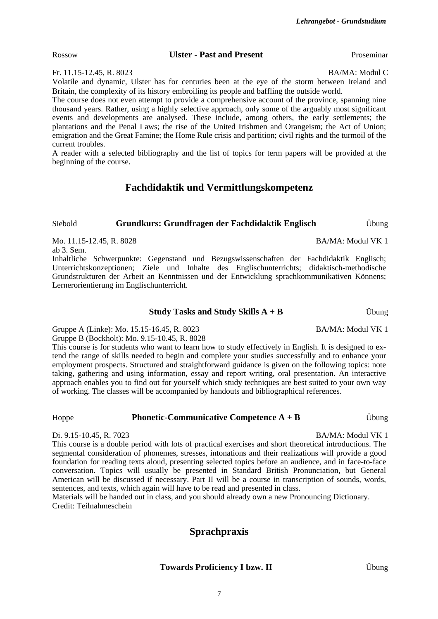### Rossow **Ulster - Past and Present** Proseminar

Fr. 11.15-12.45, R. 8023 BA/MA: Modul C

Volatile and dynamic, Ulster has for centuries been at the eye of the storm between Ireland and Britain, the complexity of its history embroiling its people and baffling the outside world.

The course does not even attempt to provide a comprehensive account of the province, spanning nine thousand years. Rather, using a highly selective approach, only some of the arguably most significant events and developments are analysed. These include, among others, the early settlements; the plantations and the Penal Laws; the rise of the United Irishmen and Orangeism; the Act of Union; emigration and the Great Famine; the Home Rule crisis and partition; civil rights and the turmoil of the current troubles.

A reader with a selected bibliography and the list of topics for term papers will be provided at the beginning of the course.

# **Fachdidaktik und Vermittlungskompetenz**

## Siebold **Grundkurs: Grundfragen der Fachdidaktik Englisch** Übung

Mo. 11.15-12.45, R. 8028 BA/MA: Modul VK 1

ab 3. Sem. Inhaltliche Schwerpunkte: Gegenstand und Bezugswissenschaften der Fachdidaktik Englisch; Unterrichtskonzeptionen; Ziele und Inhalte des Englischunterrichts; didaktisch-methodische Grundstrukturen der Arbeit an Kenntnissen und der Entwicklung sprachkommunikativen Könnens; Lernerorientierung im Englischunterricht.

### **Study Tasks and Study Skills A + B** Übung

Gruppe A (Linke): Mo. 15.15-16.45, R. 8023

Gruppe B (Bockholt): Mo. 9.15-10.45, R. 8028 This course is for students who want to learn how to study effectively in English. It is designed to extend the range of skills needed to begin and complete your studies successfully and to enhance your employment prospects. Structured and straightforward guidance is given on the following topics: note taking, gathering and using information, essay and report writing, oral presentation. An interactive approach enables you to find out for yourself which study techniques are best suited to your own way of working. The classes will be accompanied by handouts and bibliographical references.

Hoppe **Phonetic-Communicative Competence A + B** *Übung* 

Di. 9.15-10.45, R. 7023 BA/MA: Modul VK 1

This course is a double period with lots of practical exercises and short theoretical introductions. The segmental consideration of phonemes, stresses, intonations and their realizations will provide a good foundation for reading texts aloud, presenting selected topics before an audience, and in face-to-face conversation. Topics will usually be presented in Standard British Pronunciation, but General American will be discussed if necessary. Part II will be a course in transcription of sounds, words, sentences, and texts, which again will have to be read and presented in class.

Materials will be handed out in class, and you should already own a new Pronouncing Dictionary. Credit: Teilnahmeschein

# **Sprachpraxis**

**Towards Proficiency I bzw. II** *Übung* 

BA/MA: Modul VK 1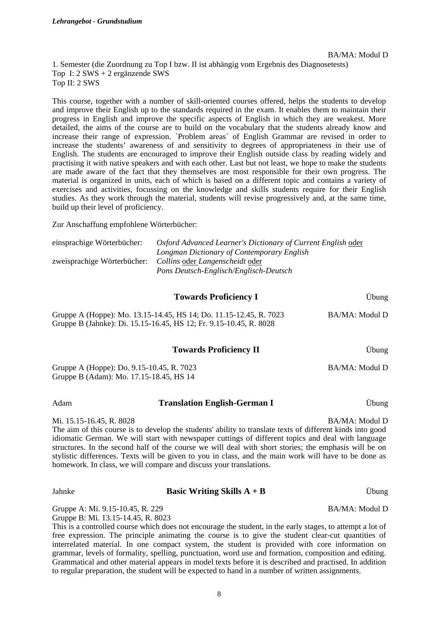BA/MA: Modul D 1. Semester (die Zuordnung zu Top I bzw. II ist abhängig vom Ergebnis des Diagnosetests) Top I: 2 SWS + 2 ergänzende SWS Top II: 2 SWS

This course, together with a number of skill-oriented courses offered, helps the students to develop and improve their English up to the standards required in the exam. It enables them to maintain their progress in English and improve the specific aspects of English in which they are weakest. More detailed, the aims of the course are to build on the vocabulary that the students already know and increase their range of expression. `Problem areas´ of English Grammar are revised in order to increase the students' awareness of and sensitivity to degrees of appropriateness in their use of English. The students are encouraged to improve their English outside class by reading widely and practising it with native speakers and with each other. Last but not least, we hope to make the students are made aware of the fact that they themselves are most responsible for their own progress. The material is organized in units, each of which is based on a different topic and contains a variety of exercises and activities, focussing on the knowledge and skills students require for their English studies. As they work through the material, students will revise progressively and, at the same time, build up their level of proficiency.

Zur Anschaffung empfohlene Wörterbücher:

| einsprachige Wörterbücher:  | Oxford Advanced Learner's Dictionary of Current English oder |
|-----------------------------|--------------------------------------------------------------|
|                             | Longman Dictionary of Contemporary English                   |
| zweisprachige Wörterbücher: | Collins oder Langenscheidt oder                              |
|                             | Pons Deutsch-Englisch/Englisch-Deutsch                       |

|                          | <b>Towards Proficiency I</b>                                                                                                                                                                                                                                                                                                                                                                                                       | Übung                 |
|--------------------------|------------------------------------------------------------------------------------------------------------------------------------------------------------------------------------------------------------------------------------------------------------------------------------------------------------------------------------------------------------------------------------------------------------------------------------|-----------------------|
|                          | Gruppe A (Hoppe): Mo. 13.15-14.45, HS 14; Do. 11.15-12.45, R. 7023<br>Gruppe B (Jahnke): Di. 15.15-16.45, HS 12; Fr. 9.15-10.45, R. 8028                                                                                                                                                                                                                                                                                           | <b>BA/MA: Modul D</b> |
|                          | <b>Towards Proficiency II</b>                                                                                                                                                                                                                                                                                                                                                                                                      | Übung                 |
|                          | Gruppe A (Hoppe): Do. 9.15-10.45, R. 7023<br>Gruppe B (Adam): Mo. 17.15-18.45, HS 14                                                                                                                                                                                                                                                                                                                                               | <b>BA/MA: Modul D</b> |
| Adam                     | <b>Translation English-German I</b>                                                                                                                                                                                                                                                                                                                                                                                                | Übung                 |
| Mi. 15.15-16.45, R. 8028 | The aim of this course is to develop the students' ability to translate texts of different kinds into good<br>idiomatic German. We will start with newspaper cuttings of different topics and deal with language<br>structures. In the second half of the course we will deal with short stories; the emphasis will be on<br>stylistic differences. Texts will be given to you in class, and the main work will have to be done as | BA/MA: Modul D        |

#### Jahnke **Basic Writing Skills A + B** Übung

Gruppe A: Mi. 9.15-10.45, R. 229

Gruppe B: Mi. 13.15-14.45, R. 8023

homework. In class, we will compare and discuss your translations.

This is a controlled course which does not encourage the student, in the early stages, to attempt a lot of free expression. The principle animating the course is to give the student clear-cut quantities of interrelated material. In one compact system, the student is provided with core information on grammar, levels of formality, spelling, punctuation, word use and formation, composition and editing. Grammatical and other material appears in model texts before it is described and practised. In addition to regular preparation, the student will be expected to hand in a number of written assignments.

BA/MA: Modul D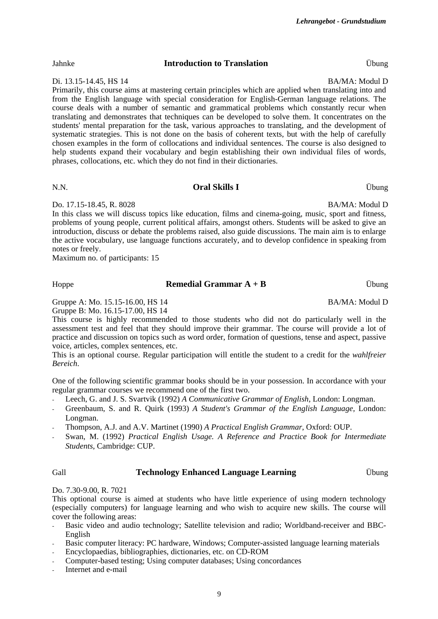Jahnke **Introduction to Translation** Übung

Di. 13.15-14.45, HS 14 BA/MA: Modul D

Primarily, this course aims at mastering certain principles which are applied when translating into and from the English language with special consideration for English-German language relations. The course deals with a number of semantic and grammatical problems which constantly recur when translating and demonstrates that techniques can be developed to solve them. It concentrates on the students' mental preparation for the task, various approaches to translating, and the development of systematic strategies. This is not done on the basis of coherent texts, but with the help of carefully chosen examples in the form of collocations and individual sentences. The course is also designed to help students expand their vocabulary and begin establishing their own individual files of words, phrases, collocations, etc. which they do not find in their dictionaries.

Do. 17.15-18.45, R. 8028 BA/MA: Modul D

In this class we will discuss topics like education, films and cinema-going, music, sport and fitness, problems of young people, current political affairs, amongst others. Students will be asked to give an introduction, discuss or debate the problems raised, also guide discussions. The main aim is to enlarge the active vocabulary, use language functions accurately, and to develop confidence in speaking from notes or freely.

Maximum no. of participants: 15

#### Hoppe **Remedial Grammar A + B** Übung

Gruppe A: Mo. 15.15-16.00, HS 14

Gruppe B: Mo. 16.15-17.00, HS 14

This course is highly recommended to those students who did not do particularly well in the assessment test and feel that they should improve their grammar. The course will provide a lot of practice and discussion on topics such as word order, formation of questions, tense and aspect, passive voice, articles, complex sentences, etc.

This is an optional course. Regular participation will entitle the student to a credit for the *wahlfreier Bereich*.

One of the following scientific grammar books should be in your possession. In accordance with your regular grammar courses we recommend one of the first two.

- Leech, G. and J. S. Svartvik (1992) *A Communicative Grammar of English*, London: Longman.
- Greenbaum, S. and R. Quirk (1993) *A Student's Grammar of the English Language,* London: Longman.
- Thompson, A.J. and A.V. Martinet (1990) *A Practical English Grammar*, Oxford: OUP.
- Swan, M. (1992) *Practical English Usage. A Reference and Practice Book for Intermediate Students*, Cambridge: CUP.

#### Gall **Technology Enhanced Language Learning** Übung

Do. 7.30-9.00, R. 7021

This optional course is aimed at students who have little experience of using modern technology (especially computers) for language learning and who wish to acquire new skills. The course will cover the following areas:

- Basic video and audio technology; Satellite television and radio; Worldband-receiver and BBC-English
- Basic computer literacy: PC hardware, Windows; Computer-assisted language learning materials
- Encyclopaedias, bibliographies, dictionaries, etc. on CD-ROM
- Computer-based testing; Using computer databases; Using concordances
- Internet and e-mail

#### BA/MA: Modul D

N.N. **Oral Skills I** Übung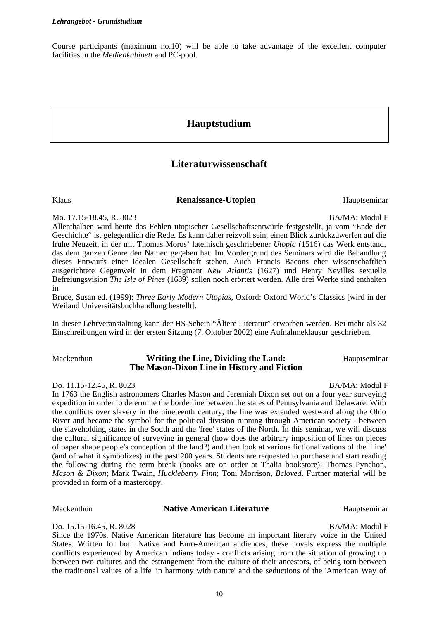Course participants (maximum no.10) will be able to take advantage of the excellent computer facilities in the *Medienkabinett* and PC-pool.

# **Hauptstudium**

# **Literaturwissenschaft**

Klaus **Renaissance-Utopien** Hauptseminar

Mo. 17.15-18.45, R. 8023 BA/MA: Modul F

Allenthalben wird heute das Fehlen utopischer Gesellschaftsentwürfe festgestellt, ja vom "Ende der Geschichte" ist gelegentlich die Rede. Es kann daher reizvoll sein, einen Blick zurückzuwerfen auf die frühe Neuzeit, in der mit Thomas Morus' lateinisch geschriebener *Utopia* (1516) das Werk entstand, das dem ganzen Genre den Namen gegeben hat. Im Vordergrund des Seminars wird die Behandlung dieses Entwurfs einer idealen Gesellschaft stehen. Auch Francis Bacons eher wissenschaftlich ausgerichtete Gegenwelt in dem Fragment *New Atlantis* (1627) und Henry Nevilles sexuelle Befreiungsvision *The Isle of Pines* (1689) sollen noch erörtert werden. Alle drei Werke sind enthalten in

Bruce, Susan ed. (1999): *Three Early Modern Utopias*, Oxford: Oxford World's Classics [wird in der Weiland Universitätsbuchhandlung bestellt].

In dieser Lehrveranstaltung kann der HS-Schein "Ältere Literatur" erworben werden. Bei mehr als 32 Einschreibungen wird in der ersten Sitzung (7. Oktober 2002) eine Aufnahmeklausur geschrieben.

#### Mackenthun **Writing the Line, Dividing the Land: The Mason-Dixon Line in History and Fiction**

Do. 11.15-12.45, R. 8023 BA/MA: Modul F

In 1763 the English astronomers Charles Mason and Jeremiah Dixon set out on a four year surveying expedition in order to determine the borderline between the states of Pennsylvania and Delaware. With the conflicts over slavery in the nineteenth century, the line was extended westward along the Ohio River and became the symbol for the political division running through American society - between the slaveholding states in the South and the 'free' states of the North. In this seminar, we will discuss the cultural significance of surveying in general (how does the arbitrary imposition of lines on pieces of paper shape people's conception of the land?) and then look at various fictionalizations of the 'Line' (and of what it symbolizes) in the past 200 years. Students are requested to purchase and start reading the following during the term break (books are on order at Thalia bookstore): Thomas Pynchon, *Mason & Dixon*; Mark Twain, *Huckleberry Finn*; Toni Morrison, *Beloved*. Further material will be provided in form of a mastercopy.

#### Mackenthun **Native American Literature** Hauptseminar

Do. 15.15-16.45, R. 8028 BA/MA: Modul F

Since the 1970s, Native American literature has become an important literary voice in the United States. Written for both Native and Euro-American audiences, these novels express the multiple conflicts experienced by American Indians today - conflicts arising from the situation of growing up between two cultures and the estrangement from the culture of their ancestors, of being torn between the traditional values of a life 'in harmony with nature' and the seductions of the 'American Way of

10

Hauptseminar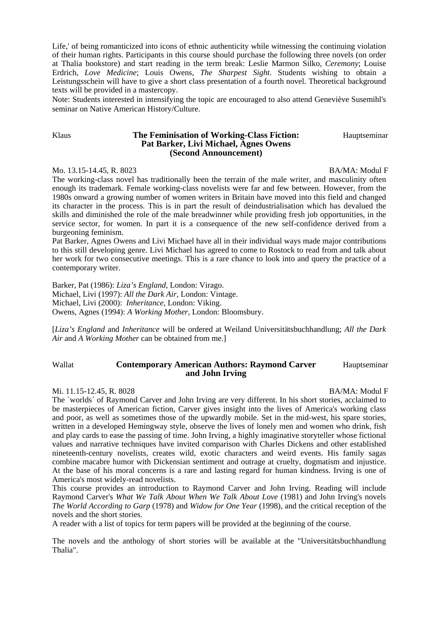Life,' of being romanticized into icons of ethnic authenticity while witnessing the continuing violation of their human rights. Participants in this course should purchase the following three novels (on order at Thalia bookstore) and start reading in the term break: Leslie Marmon Silko, *Ceremony*; Louise Erdrich, *Love Medicine*; Louis Owens, *The Sharpest Sight*. Students wishing to obtain a Leistungsschein will have to give a short class presentation of a fourth novel. Theoretical background texts will be provided in a mastercopy.

Note: Students interested in intensifying the topic are encouraged to also attend Geneviève Susemihl's seminar on Native American History/Culture.

#### Klaus **The Feminisation of Working-Class Fiction: Pat Barker, Livi Michael, Agnes Owens (Second Announcement)**

Mo. 13.15-14.45, R. 8023 BA/MA: Modul F

The working-class novel has traditionally been the terrain of the male writer, and masculinity often enough its trademark. Female working-class novelists were far and few between. However, from the 1980s onward a growing number of women writers in Britain have moved into this field and changed its character in the process. This is in part the result of deindustrialisation which has devalued the skills and diminished the role of the male breadwinner while providing fresh job opportunities, in the service sector, for women. In part it is a consequence of the new self-confidence derived from a burgeoning feminism.

Pat Barker, Agnes Owens and Livi Michael have all in their individual ways made major contributions to this still developing genre. Livi Michael has agreed to come to Rostock to read from and talk about her work for two consecutive meetings. This is a rare chance to look into and query the practice of a contemporary writer.

Barker, Pat (1986): *Liza's England*, London: Virago. Michael, Livi (1997): *All the Dark Air,* London: Vintage. Michael, Livi (2000): *Inheritance*, London: Viking. Owens, Agnes (1994): *A Working Mother,* London: Bloomsbury.

[*Liza's England* and *Inheritance* will be ordered at Weiland Universitätsbuchhandlung; *All the Dark Air* and *A Working Mother* can be obtained from me.]

#### Wallat **Contemporary American Authors: Raymond Carver and John Irving**  Hauptseminar

Mi. 11.15-12.45, R. 8028 BA/MA: Modul F

The `worlds´ of Raymond Carver and John Irving are very different. In his short stories, acclaimed to be masterpieces of American fiction, Carver gives insight into the lives of America's working class and poor, as well as sometimes those of the upwardly mobile. Set in the mid-west, his spare stories, written in a developed Hemingway style, observe the lives of lonely men and women who drink, fish and play cards to ease the passing of time. John Irving, a highly imaginative storyteller whose fictional values and narrative techniques have invited comparison with Charles Dickens and other established nineteenth-century novelists, creates wild, exotic characters and weird events. His family sagas combine macabre humor with Dickensian sentiment and outrage at cruelty, dogmatism and injustice. At the base of his moral concerns is a rare and lasting regard for human kindness. Irving is one of America's most widely-read novelists.

This course provides an introduction to Raymond Carver and John Irving. Reading will include Raymond Carver's *What We Talk About When We Talk About Love* (1981) and John Irving's novels *The World According to Garp* (1978) and *Widow for One Year* (1998), and the critical reception of the novels and the short stories.

A reader with a list of topics for term papers will be provided at the beginning of the course.

The novels and the anthology of short stories will be available at the "Universitätsbuchhandlung Thalia".

Hauptseminar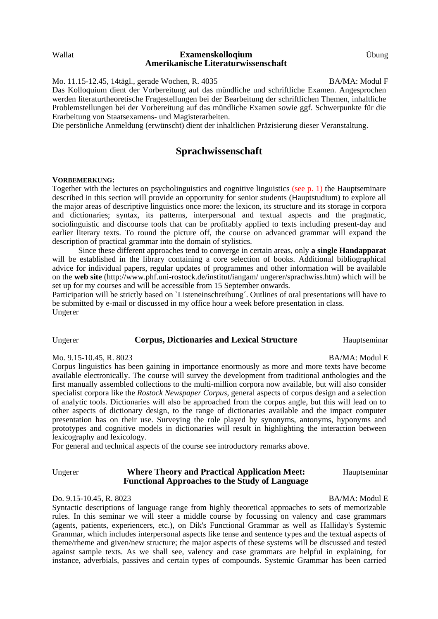#### Wallat **Examenskolloqium Amerikanische Literaturwissenschaft**

Mo. 11.15-12.45, 14tägl., gerade Wochen, R. 4035 BA/MA: Modul F Das Kolloquium dient der Vorbereitung auf das mündliche und schriftliche Examen. Angesprochen werden literaturtheoretische Fragestellungen bei der Bearbeitung der schriftlichen Themen, inhaltliche Problemstellungen bei der Vorbereitung auf das mündliche Examen sowie ggf. Schwerpunkte für die Erarbeitung von Staatsexamens- und Magisterarbeiten.

Die persönliche Anmeldung (erwünscht) dient der inhaltlichen Präzisierung dieser Veranstaltung.

# **Sprachwissenschaft**

#### **VORBEMERKUNG:**

Together with the lectures on psycholinguistics and cognitive linguistics (see p. [1\)](#page-0-0) the Hauptseminare described in this section will provide an opportunity for senior students (Hauptstudium) to explore all the major areas of descriptive linguistics once more: the lexicon, its structure and its storage in corpora and dictionaries; syntax, its patterns, interpersonal and textual aspects and the pragmatic, sociolinguistic and discourse tools that can be profitably applied to texts including present-day and earlier literary texts. To round the picture off, the course on advanced grammar will expand the description of practical grammar into the domain of stylistics.

Since these different approaches tend to converge in certain areas, only **a single Handapparat**  will be established in the library containing a core selection of books. Additional bibliographical advice for individual papers, regular updates of programmes and other information will be available on the **web site** (http://www.phf.uni-rostock.de/institut/iangam/ ungerer/sprachwiss.htm) which will be set up for my courses and will be accessible from 15 September onwards.

Participation will be strictly based on `Listeneinschreibung´. Outlines of oral presentations will have to be submitted by e-mail or discussed in my office hour a week before presentation in class. Ungerer

#### Ungerer **Corpus, Dictionaries and Lexical Structure** Hauptseminar

Mo. 9.15-10.45, R. 8023 BA/MA: Modul E

Corpus linguistics has been gaining in importance enormously as more and more texts have become available electronically. The course will survey the development from traditional anthologies and the first manually assembled collections to the multi-million corpora now available, but will also consider specialist corpora like the *Rostock Newspaper Corpus*, general aspects of corpus design and a selection of analytic tools. Dictionaries will also be approached from the corpus angle, but this will lead on to other aspects of dictionary design, to the range of dictionaries available and the impact computer presentation has on their use. Surveying the role played by synonyms, antonyms, hyponyms and prototypes and cognitive models in dictionaries will result in highlighting the interaction between lexicography and lexicology.

For general and technical aspects of the course see introductory remarks above.

Ungerer **Where Theory and Practical Application Meet: Functional Approaches to the Study of Language**  Hauptseminar

#### Do. 9.15-10.45, R. 8023 BA/MA: Modul E

Syntactic descriptions of language range from highly theoretical approaches to sets of memorizable rules. In this seminar we will steer a middle course by focussing on valency and case grammars (agents, patients, experiencers, etc.), on Dik's Functional Grammar as well as Halliday's Systemic Grammar, which includes interpersonal aspects like tense and sentence types and the textual aspects of theme/rheme and given/new structure; the major aspects of these systems will be discussed and tested against sample texts. As we shall see, valency and case grammars are helpful in explaining, for instance, adverbials, passives and certain types of compounds. Systemic Grammar has been carried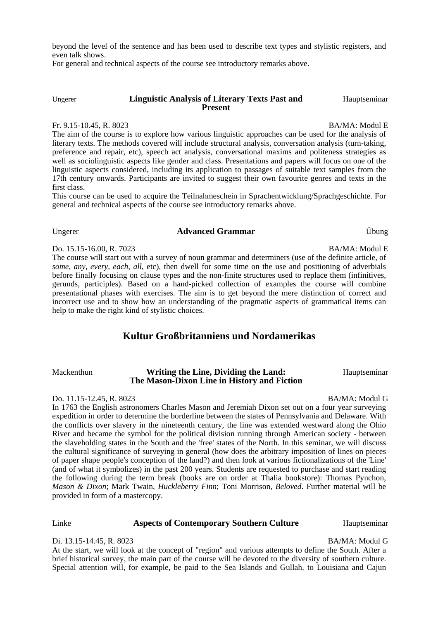beyond the level of the sentence and has been used to describe text types and stylistic registers, and even talk shows.

For general and technical aspects of the course see introductory remarks above.

#### Ungerer **Linguistic Analysis of Literary Texts Past and Present**  Hauptseminar

Fr. 9.15-10.45, R. 8023 BA/MA: Modul E

The aim of the course is to explore how various linguistic approaches can be used for the analysis of literary texts. The methods covered will include structural analysis, conversation analysis (turn-taking, preference and repair, etc), speech act analysis, conversational maxims and politeness strategies as well as sociolinguistic aspects like gender and class. Presentations and papers will focus on one of the linguistic aspects considered, including its application to passages of suitable text samples from the 17th century onwards. Participants are invited to suggest their own favourite genres and texts in the first class.

This course can be used to acquire the Teilnahmeschein in Sprachentwicklung/Sprachgeschichte. For general and technical aspects of the course see introductory remarks above.

#### Ungerer **Advanced Grammar** Übung

Do. 15.15-16.00, R. 7023 BA/MA: Modul E

The course will start out with a survey of noun grammar and determiners (use of the definite article, of *some, any, every, each, all*, etc), then dwell for some time on the use and positioning of adverbials before finally focusing on clause types and the non-finite structures used to replace them (infinitives, gerunds, participles). Based on a hand-picked collection of examples the course will combine presentational phases with exercises. The aim is to get beyond the mere distinction of correct and incorrect use and to show how an understanding of the pragmatic aspects of grammatical items can help to make the right kind of stylistic choices.

# **Kultur Großbritanniens und Nordamerikas**

| Mackenthun | Writing the Line, Dividing the Land:        | Hauptseminar |
|------------|---------------------------------------------|--------------|
|            | The Mason-Dixon Line in History and Fiction |              |

#### Do. 11.15-12.45, R. 8023 BA/MA: Modul G

In 1763 the English astronomers Charles Mason and Jeremiah Dixon set out on a four year surveying expedition in order to determine the borderline between the states of Pennsylvania and Delaware. With the conflicts over slavery in the nineteenth century, the line was extended westward along the Ohio River and became the symbol for the political division running through American society - between the slaveholding states in the South and the 'free' states of the North. In this seminar, we will discuss the cultural significance of surveying in general (how does the arbitrary imposition of lines on pieces of paper shape people's conception of the land?) and then look at various fictionalizations of the 'Line' (and of what it symbolizes) in the past 200 years. Students are requested to purchase and start reading the following during the term break (books are on order at Thalia bookstore): Thomas Pynchon, *Mason & Dixon*; Mark Twain, *Huckleberry Finn*; Toni Morrison, *Beloved*. Further material will be provided in form of a mastercopy.

### Linke **[Aspects of Conte](#page-0-0)mporary Southern Culture** Hauptseminar

#### Di. 13.15-14.45, R. 8023 BA/MA: Modul G

At the start, we will look at the concept of "region" and various attempts to define the South. After a brief historical survey, the main part of the course will be devoted to the diversity of southern culture. Special attention will, for example, be paid to the Sea Islands and Gullah, to Louisiana and Cajun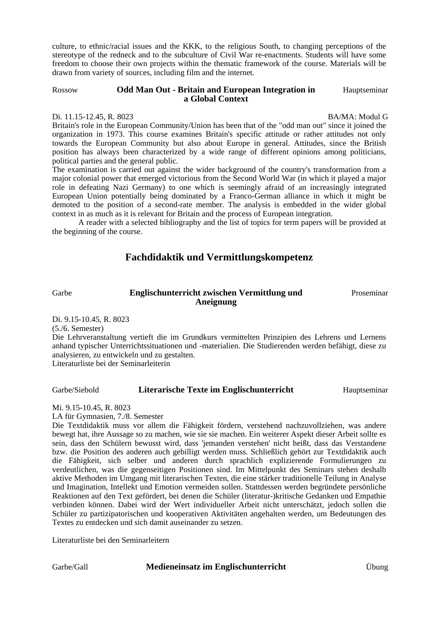culture, to ethnic/racial issues and the KKK, to the religious South, to changing perceptions of the stereotype of the redneck and to the subculture of Civil War re-enactments. Students will have some freedom to choose their own projects within the thematic framework of the course. Materials will be drawn from variety of sources, including film and the internet.

#### Rossow **Odd Man Out - Britain and European Integration in a Global Context**  Hauptseminar

#### Di. 11.15-12.45, R. 8023 BA/MA: Modul G

Britain's role in the European Community/Union has been that of the "odd man out" since it joined the organization in 1973. This course examines Britain's specific attitude or rather attitudes not only towards the European Community but also about Europe in general. Attitudes, since the British position has always been characterized by a wide range of different opinions among politicians, political parties and the general public.

The examination is carried out against the wider background of the country's transformation from a major colonial power that emerged victorious from the Second World War (in which it played a major role in defeating Nazi Germany) to one which is seemingly afraid of an increasingly integrated European Union potentially being dominated by a Franco-German alliance in which it might be demoted to the position of a second-rate member. The analysis is embedded in the wider global context in as much as it is relevant for Britain and the process of European integration.

A reader with a selected bibliography and the list of topics for term papers will be provided at the beginning of the course.

# **Fachdidaktik und Vermittlungskompetenz**

#### Garbe **Englischunterricht zwischen Vermittlung und Aneignung**

Proseminar

Di. 9.15-10.45, R. 8023

(5./6. Semester)

Die Lehrveranstaltung vertieft die im Grundkurs vermittelten Prinzipien des Lehrens und Lernens anhand typischer Unterrichtssituationen und -materialien. Die Studierenden werden befähigt, diese zu analysieren, zu entwickeln und zu gestalten.

Literaturliste bei der Seminarleiterin

Garbe/Siebold **Literarische Texte im Englischunterricht** Hauptseminar

Mi. 9.15-10.45, R. 8023

LA für Gymnasien, 7./8. Semester

Die Textdidaktik muss vor allem die Fähigkeit fördern, verstehend nachzuvollziehen, was andere bewegt hat, ihre Aussage so zu machen, wie sie sie machen. Ein weiterer Aspekt dieser Arbeit sollte es sein, dass den Schülern bewusst wird, dass 'jemanden verstehen' nicht heißt, dass das Verstandene bzw. die Position des anderen auch gebilligt werden muss. Schließlich gehört zur Textdidaktik auch die Fähigkeit, sich selber und anderen durch sprachlich explizierende Formulierungen zu verdeutlichen, was die gegenseitigen Positionen sind. Im Mittelpunkt des Seminars stehen deshalb aktive Methoden im Umgang mit literarischen Texten, die eine stärker traditionelle Teilung in Analyse und Imagination, Intellekt und Emotion vermeiden sollen. Stattdessen werden begründete persönliche Reaktionen auf den Text gefördert, bei denen die Schüler (literatur-)kritische Gedanken und Empathie verbinden können. Dabei wird der Wert individueller Arbeit nicht unterschätzt, jedoch sollen die Schüler zu partizipatorischen und kooperativen Aktivitäten angehalten werden, um Bedeutungen des Textes zu entdecken und sich damit auseinander zu setzen.

Literaturliste bei den Seminarleitern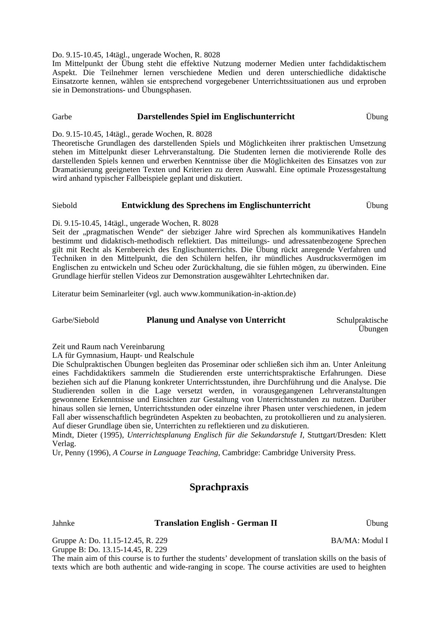Do. 9.15-10.45, 14tägl., ungerade Wochen, R. 8028

Im Mittelpunkt der Übung steht die effektive Nutzung moderner Medien unter fachdidaktischem Aspekt. Die Teilnehmer lernen verschiedene Medien und deren unterschiedliche didaktische Einsatzorte kennen, wählen sie entsprechend vorgegebener Unterrichtssituationen aus und erproben sie in Demonstrations- und Übungsphasen.

#### Garbe **Darstellendes Spiel im Englischunterricht** Übung

Do. 9.15-10.45, 14tägl., gerade Wochen, R. 8028

Theoretische Grundlagen des darstellenden Spiels und Möglichkeiten ihrer praktischen Umsetzung stehen im Mittelpunkt dieser Lehrveranstaltung. Die Studenten lernen die motivierende Rolle des darstellenden Spiels kennen und erwerben Kenntnisse über die Möglichkeiten des Einsatzes von zur Dramatisierung geeigneten Texten und Kriterien zu deren Auswahl. Eine optimale Prozessgestaltung wird anhand typischer Fallbeispiele geplant und diskutiert.

#### Siebold **Entwicklung des Sprechens im Englischunterricht** Übung

Di. 9.15-10.45, 14tägl., ungerade Wochen, R. 8028

Seit der "pragmatischen Wende" der siebziger Jahre wird Sprechen als kommunikatives Handeln bestimmt und didaktisch-methodisch reflektiert. Das mitteilungs- und adressatenbezogene Sprechen gilt mit Recht als Kernbereich des Englischunterrichts. Die Übung rückt anregende Verfahren und Techniken in den Mittelpunkt, die den Schülern helfen, ihr mündliches Ausdrucksvermögen im Englischen zu entwickeln und Scheu oder Zurückhaltung, die sie fühlen mögen, zu überwinden. Eine Grundlage hierfür stellen Videos zur Demonstration ausgewählter Lehrtechniken dar.

Literatur beim Seminarleiter (vgl. auch www.kommunikation-in-aktion.de)

### Garbe/Siebold **Planung und Analyse von Unterricht** Schulpraktische

Übungen

Zeit und Raum nach Vereinbarung

LA für Gymnasium, Haupt- und Realschule

Die Schulpraktischen Übungen begleiten das Proseminar oder schließen sich ihm an. Unter Anleitung eines Fachdidaktikers sammeln die Studierenden erste unterrichtspraktische Erfahrungen. Diese beziehen sich auf die Planung konkreter Unterrichtsstunden, ihre Durchführung und die Analyse. Die Studierenden sollen in die Lage versetzt werden, in vorausgegangenen Lehrveranstaltungen gewonnene Erkenntnisse und Einsichten zur Gestaltung von Unterrichtsstunden zu nutzen. Darüber hinaus sollen sie lernen, Unterrichtsstunden oder einzelne ihrer Phasen unter verschiedenen, in jedem Fall aber wissenschaftlich begründeten Aspekten zu beobachten, zu protokollieren und zu analysieren. Auf dieser Grundlage üben sie, Unterrichten zu reflektieren und zu diskutieren.

Mindt, Dieter (1995), *Unterrichtsplanung Englisch für die Sekundarstufe I*, Stuttgart/Dresden: Klett Verlag.

Ur, Penny (1996), *A Course in Language Teaching*, Cambridge: Cambridge University Press.

# **Sprachpraxis**

Jahnke **Translation English - German II** Übung

Gruppe A: Do. 11.15-12.45, R. 229 Gruppe B: Do. 13.15-14.45, R. 229

The main aim of this course is to further the students' development of translation skills on the basis of texts which are both authentic and wide-ranging in scope. The course activities are used to heighten

BA/MA: Modul I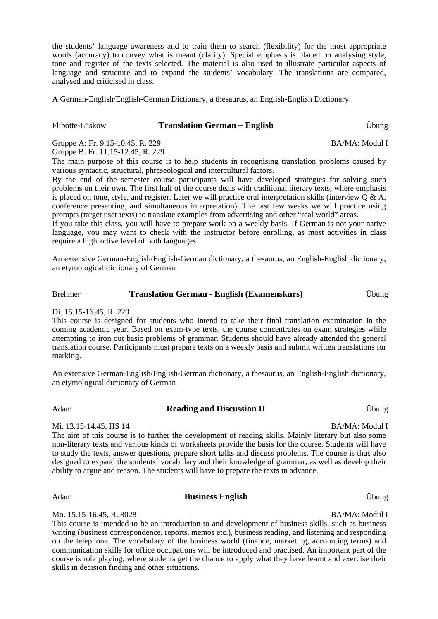the students' language awareness and to train them to search (flexibility) for the most appropriate words (accuracy) to convey what is meant (clarity). Special emphasis is placed on analysing style, tone and register of the texts selected. The material is also used to illustrate particular aspects of language and structure and to expand the students' vocabulary. The translations are compared, analysed and criticised in class.

A German-English/English-German Dictionary, a thesaurus, an English-English Dictionary

#### Flibotte-Lüskow **Translation German – English** Übung

Gruppe A: Fr. 9.15-10.45, R. 229

BA/MA: Modul I

Gruppe B: Fr. 11.15-12.45, R. 229

The main purpose of this course is to help students in recognising translation problems caused by various syntactic, structural, phraseological and intercultural factors.

By the end of the semester course participants will have developed strategies for solving such problems on their own. The first half of the course deals with traditional literary texts, where emphasis is placed on tone, style, and register. Later we will practice oral interpretation skills (interview  $\overrightarrow{Q}$  & A, conference presenting, and simultaneous interpretation). The last few weeks we will practice using prompts (target user texts) to translate examples from advertising and other "real world" areas.

If you take this class, you will have to prepare work on a weekly basis. If German is not your native language, you may want to check with the instructor before enrolling, as most activities in class require a high active level of both languages.

An extensive German-English/English-German dictionary, a thesaurus, an English-English dictionary, an etymological dictionary of German

#### Brehmer **Translation German - English (Examenskurs)** Übung

Di. 15.15-16.45, R. 229

This course is designed for students who intend to take their final translation examination in the coming academic year. Based on exam-type texts, the course concentrates on exam strategies while attempting to iron out basic problems of grammar. Students should have already attended the general translation course. Participants must prepare texts on a weekly basis and submit written translations for marking.

An extensive German-English/English-German dictionary, a thesaurus, an English-English dictionary, an etymological dictionary of German

### Adam **Reading and Discussion II** Übung

Mi. 13.15-14.45, HS 14 BA/MA: Modul I

The aim of this course is to further the development of reading skills. Mainly literary but also some non-literary texts and various kinds of worksheets provide the basis for the course. Students will have to study the texts, answer questions, prepare short talks and discuss problems. The course is thus also designed to expand the students´ vocabulary and their knowledge of grammar, as well as develop their ability to argue and reason. The students will have to prepare the texts in advance.

#### Adam **Business English** Übung

Mo. 15.15-16.45, R. 8028 BA/MA: Modul I

This course is intended to be an introduction to and development of business skills, such as business writing (business correspondence, reports, memos etc.), business reading, and listening and responding on the telephone. The vocabulary of the business world (finance, marketing, accounting terms) and communication skills for office occupations will be introduced and practised. An important part of the course is role playing, where students get the chance to apply what they have learnt and exercise their skills in decision finding and other situations.